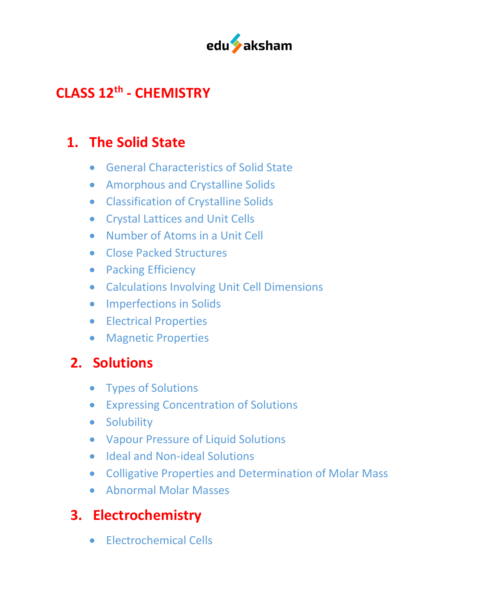

## **CLASS 12th - CHEMISTRY**

#### **1. The Solid State**

- General Characteristics of Solid State
- Amorphous and Crystalline Solids
- Classification of Crystalline Solids
- Crystal Lattices and Unit Cells
- Number of Atoms in a Unit Cell
- Close Packed Structures
- Packing Efficiency
- Calculations Involving Unit Cell Dimensions
- Imperfections in Solids
- Electrical Properties
- Magnetic Properties

### **2. Solutions**

- Types of Solutions
- Expressing Concentration of Solutions
- Solubility
- Vapour Pressure of Liquid Solutions
- Ideal and Non-ideal Solutions
- Colligative Properties and Determination of Molar Mass
- Abnormal Molar Masses

### **3. Electrochemistry**

• Electrochemical Cells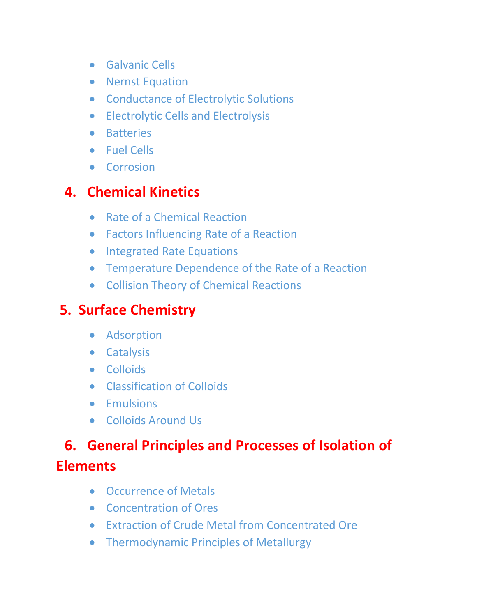- Galvanic Cells
- Nernst Equation
- Conductance of Electrolytic Solutions
- Electrolytic Cells and Electrolysis
- Batteries
- Fuel Cells
- Corrosion

### **4. Chemical Kinetics**

- Rate of a Chemical Reaction
- Factors Influencing Rate of a Reaction
- Integrated Rate Equations
- Temperature Dependence of the Rate of a Reaction
- Collision Theory of Chemical Reactions

## **5. Surface Chemistry**

- Adsorption
- Catalysis
- Colloids
- Classification of Colloids
- Emulsions
- Colloids Around Us

# **6. General Principles and Processes of Isolation of Elements**

- Occurrence of Metals
- Concentration of Ores
- Extraction of Crude Metal from Concentrated Ore
- Thermodynamic Principles of Metallurgy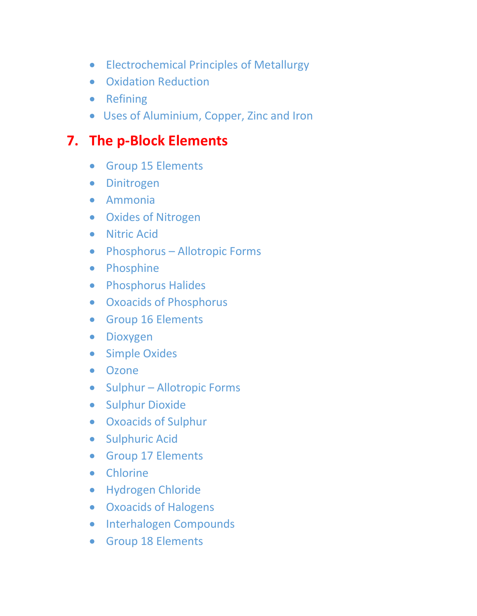- Electrochemical Principles of Metallurgy
- Oxidation Reduction
- Refining
- Uses of Aluminium, Copper, Zinc and Iron

### **7. The p-Block Elements**

- Group 15 Elements
- Dinitrogen
- Ammonia
- Oxides of Nitrogen
- Nitric Acid
- Phosphorus Allotropic Forms
- Phosphine
- Phosphorus Halides
- Oxoacids of Phosphorus
- Group 16 Elements
- Dioxygen
- Simple Oxides
- Ozone
- Sulphur Allotropic Forms
- Sulphur Dioxide
- Oxoacids of Sulphur
- Sulphuric Acid
- Group 17 Elements
- Chlorine
- Hydrogen Chloride
- Oxoacids of Halogens
- Interhalogen Compounds
- Group 18 Elements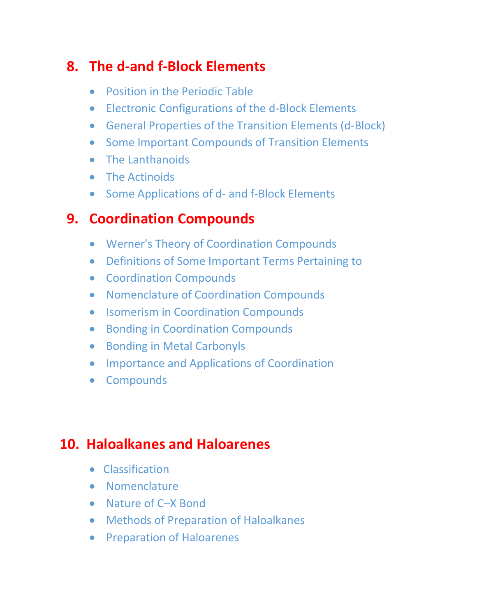#### **8. The d-and f-Block Elements**

- Position in the Periodic Table
- Electronic Configurations of the d-Block Elements
- General Properties of the Transition Elements (d-Block)
- Some Important Compounds of Transition Elements
- The Lanthanoids
- The Actinoids
- Some Applications of d- and f-Block Elements

#### **9. Coordination Compounds**

- Werner's Theory of Coordination Compounds
- Definitions of Some Important Terms Pertaining to
- Coordination Compounds
- Nomenclature of Coordination Compounds
- Isomerism in Coordination Compounds
- Bonding in Coordination Compounds
- Bonding in Metal Carbonyls
- Importance and Applications of Coordination
- Compounds

#### **10. Haloalkanes and Haloarenes**

- Classification
- Nomenclature
- Nature of C–X Bond
- Methods of Preparation of Haloalkanes
- Preparation of Haloarenes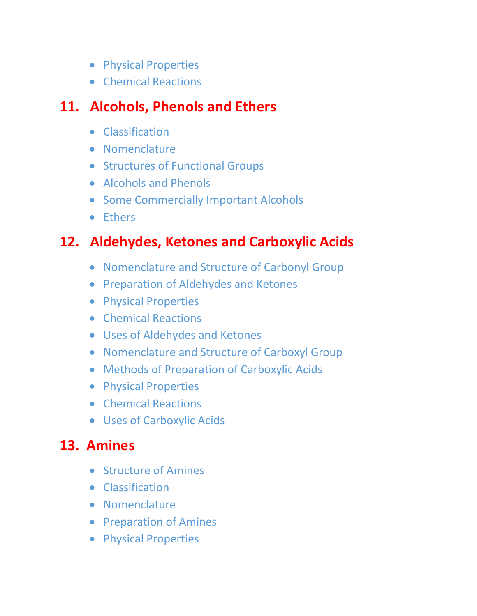- Physical Properties
- Chemical Reactions

#### **11. Alcohols, Phenols and Ethers**

- Classification
- Nomenclature
- Structures of Functional Groups
- Alcohols and Phenols
- Some Commercially Important Alcohols
- Ethers

### **12. Aldehydes, Ketones and Carboxylic Acids**

- Nomenclature and Structure of Carbonyl Group
- Preparation of Aldehydes and Ketones
- Physical Properties
- Chemical Reactions
- Uses of Aldehydes and Ketones
- Nomenclature and Structure of Carboxyl Group
- Methods of Preparation of Carboxylic Acids
- Physical Properties
- Chemical Reactions
- Uses of Carboxylic Acids

### **13. Amines**

- Structure of Amines
- Classification
- Nomenclature
- Preparation of Amines
- Physical Properties